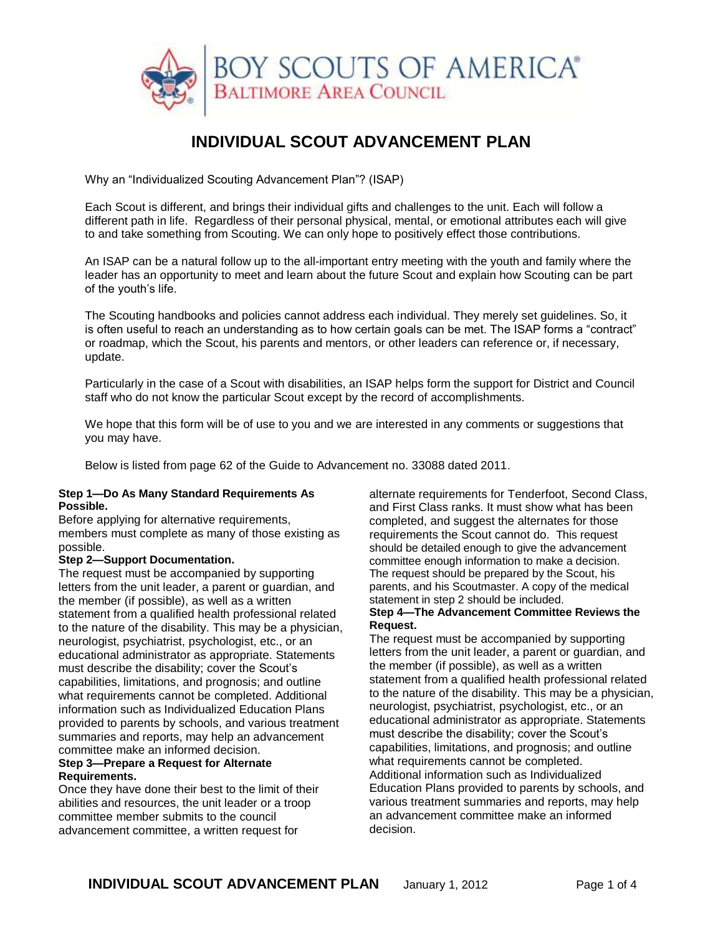

# **INDIVIDUAL SCOUT ADVANCEMENT PLAN**

Why an "Individualized Scouting Advancement Plan"? (ISAP)

Each Scout is different, and brings their individual gifts and challenges to the unit. Each will follow a different path in life. Regardless of their personal physical, mental, or emotional attributes each will give to and take something from Scouting. We can only hope to positively effect those contributions.

An ISAP can be a natural follow up to the all-important entry meeting with the youth and family where the leader has an opportunity to meet and learn about the future Scout and explain how Scouting can be part of the youth's life.

The Scouting handbooks and policies cannot address each individual. They merely set guidelines. So, it is often useful to reach an understanding as to how certain goals can be met. The ISAP forms a "contract" or roadmap, which the Scout, his parents and mentors, or other leaders can reference or, if necessary, update.

Particularly in the case of a Scout with disabilities, an ISAP helps form the support for District and Council staff who do not know the particular Scout except by the record of accomplishments.

We hope that this form will be of use to you and we are interested in any comments or suggestions that you may have.

Below is listed from page 62 of the Guide to Advancement no. 33088 dated 2011.

#### **Step 1—Do As Many Standard Requirements As Possible.**

Before applying for alternative requirements, members must complete as many of those existing as possible.

#### **Step 2—Support Documentation.**

The request must be accompanied by supporting letters from the unit leader, a parent or guardian, and the member (if possible), as well as a written statement from a qualified health professional related to the nature of the disability. This may be a physician, neurologist, psychiatrist, psychologist, etc., or an educational administrator as appropriate. Statements must describe the disability; cover the Scout's capabilities, limitations, and prognosis; and outline what requirements cannot be completed. Additional information such as Individualized Education Plans provided to parents by schools, and various treatment summaries and reports, may help an advancement committee make an informed decision.

#### **Step 3—Prepare a Request for Alternate Requirements.**

Once they have done their best to the limit of their abilities and resources, the unit leader or a troop committee member submits to the council advancement committee, a written request for

alternate requirements for Tenderfoot, Second Class, and First Class ranks. It must show what has been completed, and suggest the alternates for those requirements the Scout cannot do. This request should be detailed enough to give the advancement committee enough information to make a decision. The request should be prepared by the Scout, his parents, and his Scoutmaster. A copy of the medical statement in step 2 should be included.

#### **Step 4—The Advancement Committee Reviews the Request.**

The request must be accompanied by supporting letters from the unit leader, a parent or guardian, and the member (if possible), as well as a written statement from a qualified health professional related to the nature of the disability. This may be a physician, neurologist, psychiatrist, psychologist, etc., or an educational administrator as appropriate. Statements must describe the disability; cover the Scout's capabilities, limitations, and prognosis; and outline what requirements cannot be completed. Additional information such as Individualized Education Plans provided to parents by schools, and various treatment summaries and reports, may help an advancement committee make an informed decision.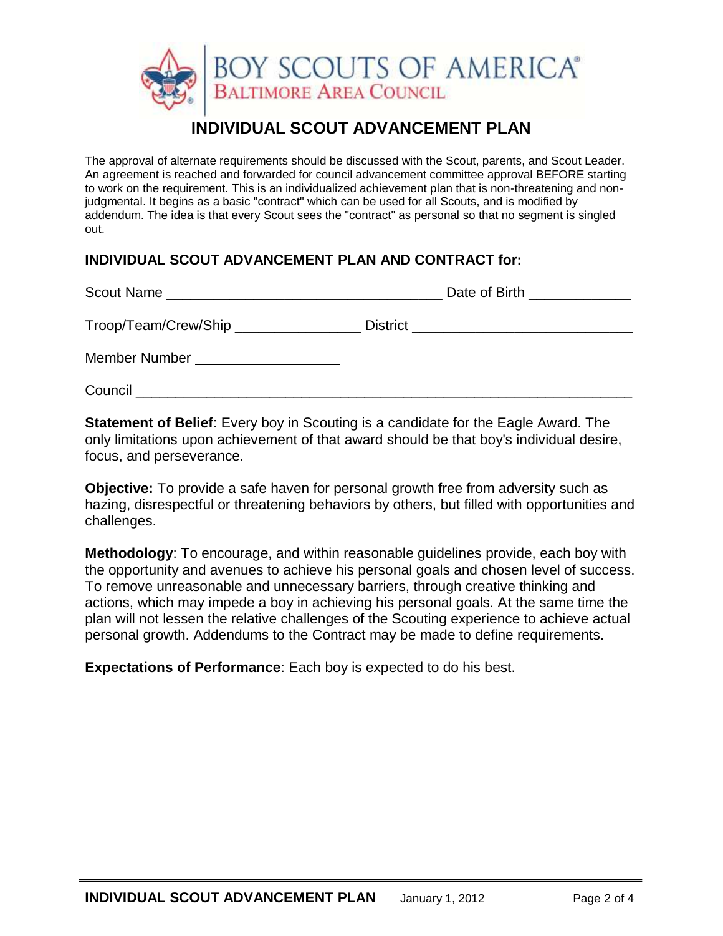

# **INDIVIDUAL SCOUT ADVANCEMENT PLAN**

The approval of alternate requirements should be discussed with the Scout, parents, and Scout Leader. An agreement is reached and forwarded for council advancement committee approval BEFORE starting to work on the requirement. This is an individualized achievement plan that is non-threatening and nonjudgmental. It begins as a basic "contract" which can be used for all Scouts, and is modified by addendum. The idea is that every Scout sees the "contract" as personal so that no segment is singled out.

# **INDIVIDUAL SCOUT ADVANCEMENT PLAN AND CONTRACT for:**

|                                      | Date of Birth ______________                 |
|--------------------------------------|----------------------------------------------|
| Troop/Team/Crew/Ship _______________ | District ___________________________________ |
| Member Number                        |                                              |
| Council                              |                                              |

**Statement of Belief**: Every boy in Scouting is a candidate for the Eagle Award. The only limitations upon achievement of that award should be that boy's individual desire, focus, and perseverance.

**Objective:** To provide a safe haven for personal growth free from adversity such as hazing, disrespectful or threatening behaviors by others, but filled with opportunities and challenges.

**Methodology**: To encourage, and within reasonable guidelines provide, each boy with the opportunity and avenues to achieve his personal goals and chosen level of success. To remove unreasonable and unnecessary barriers, through creative thinking and actions, which may impede a boy in achieving his personal goals. At the same time the plan will not lessen the relative challenges of the Scouting experience to achieve actual personal growth. Addendums to the Contract may be made to define requirements.

**Expectations of Performance**: Each boy is expected to do his best.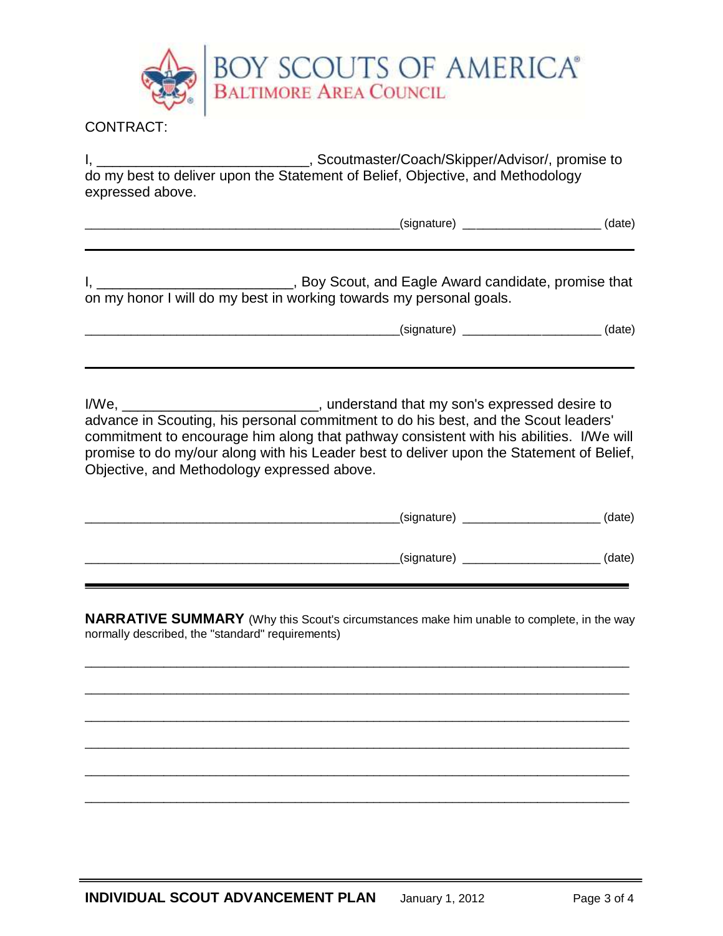

### CONTRACT:

I, \_\_\_\_\_\_\_\_\_\_\_\_\_\_\_\_\_\_\_\_\_\_\_\_\_\_\_\_\_\_\_, Scoutmaster/Coach/Skipper/Advisor/, promise to do my best to deliver upon the Statement of Belief, Objective, and Methodology expressed above.

| .<br>∽<br>___ | - - - - - |
|---------------|-----------|
|               |           |

I, \_\_\_\_\_\_\_\_\_\_\_\_\_\_\_\_\_\_\_\_\_\_\_\_\_\_\_\_\_, Boy Scout, and Eagle Award candidate, promise that on my honor I will do my best in working towards my personal goals.

\_\_\_\_\_\_\_\_\_\_\_\_\_\_\_\_\_\_\_\_\_\_\_\_\_\_\_\_\_\_\_\_\_\_\_\_\_\_\_\_\_\_\_\_\_\_\_\_(signature) \_\_\_\_\_\_\_\_\_\_\_\_\_\_\_\_\_\_\_\_\_ (date)

I/We, \_\_\_\_\_\_\_\_\_\_\_\_\_\_\_\_\_\_\_\_\_\_\_\_\_, understand that my son's expressed desire to advance in Scouting, his personal commitment to do his best, and the Scout leaders' commitment to encourage him along that pathway consistent with his abilities. I/We will promise to do my/our along with his Leader best to deliver upon the Statement of Belief, Objective, and Methodology expressed above.

| (signature) | (date) |
|-------------|--------|
| (signature) | (date) |

**NARRATIVE SUMMARY** (Why this Scout's circumstances make him unable to complete, in the way normally described, the "standard" requirements)

\_\_\_\_\_\_\_\_\_\_\_\_\_\_\_\_\_\_\_\_\_\_\_\_\_\_\_\_\_\_\_\_\_\_\_\_\_\_\_\_\_\_\_\_\_\_\_\_\_\_\_\_\_\_\_\_\_\_\_\_\_\_\_\_\_\_\_\_\_\_\_\_\_\_\_\_\_\_\_\_\_\_\_

\_\_\_\_\_\_\_\_\_\_\_\_\_\_\_\_\_\_\_\_\_\_\_\_\_\_\_\_\_\_\_\_\_\_\_\_\_\_\_\_\_\_\_\_\_\_\_\_\_\_\_\_\_\_\_\_\_\_\_\_\_\_\_\_\_\_\_\_\_\_\_\_\_\_\_\_\_\_\_\_\_\_\_

\_\_\_\_\_\_\_\_\_\_\_\_\_\_\_\_\_\_\_\_\_\_\_\_\_\_\_\_\_\_\_\_\_\_\_\_\_\_\_\_\_\_\_\_\_\_\_\_\_\_\_\_\_\_\_\_\_\_\_\_\_\_\_\_\_\_\_\_\_\_\_\_\_\_\_\_\_\_\_\_\_\_\_

\_\_\_\_\_\_\_\_\_\_\_\_\_\_\_\_\_\_\_\_\_\_\_\_\_\_\_\_\_\_\_\_\_\_\_\_\_\_\_\_\_\_\_\_\_\_\_\_\_\_\_\_\_\_\_\_\_\_\_\_\_\_\_\_\_\_\_\_\_\_\_\_\_\_\_\_\_\_\_\_\_\_\_

\_\_\_\_\_\_\_\_\_\_\_\_\_\_\_\_\_\_\_\_\_\_\_\_\_\_\_\_\_\_\_\_\_\_\_\_\_\_\_\_\_\_\_\_\_\_\_\_\_\_\_\_\_\_\_\_\_\_\_\_\_\_\_\_\_\_\_\_\_\_\_\_\_\_\_\_\_\_\_\_\_\_\_

\_\_\_\_\_\_\_\_\_\_\_\_\_\_\_\_\_\_\_\_\_\_\_\_\_\_\_\_\_\_\_\_\_\_\_\_\_\_\_\_\_\_\_\_\_\_\_\_\_\_\_\_\_\_\_\_\_\_\_\_\_\_\_\_\_\_\_\_\_\_\_\_\_\_\_\_\_\_\_\_\_\_\_